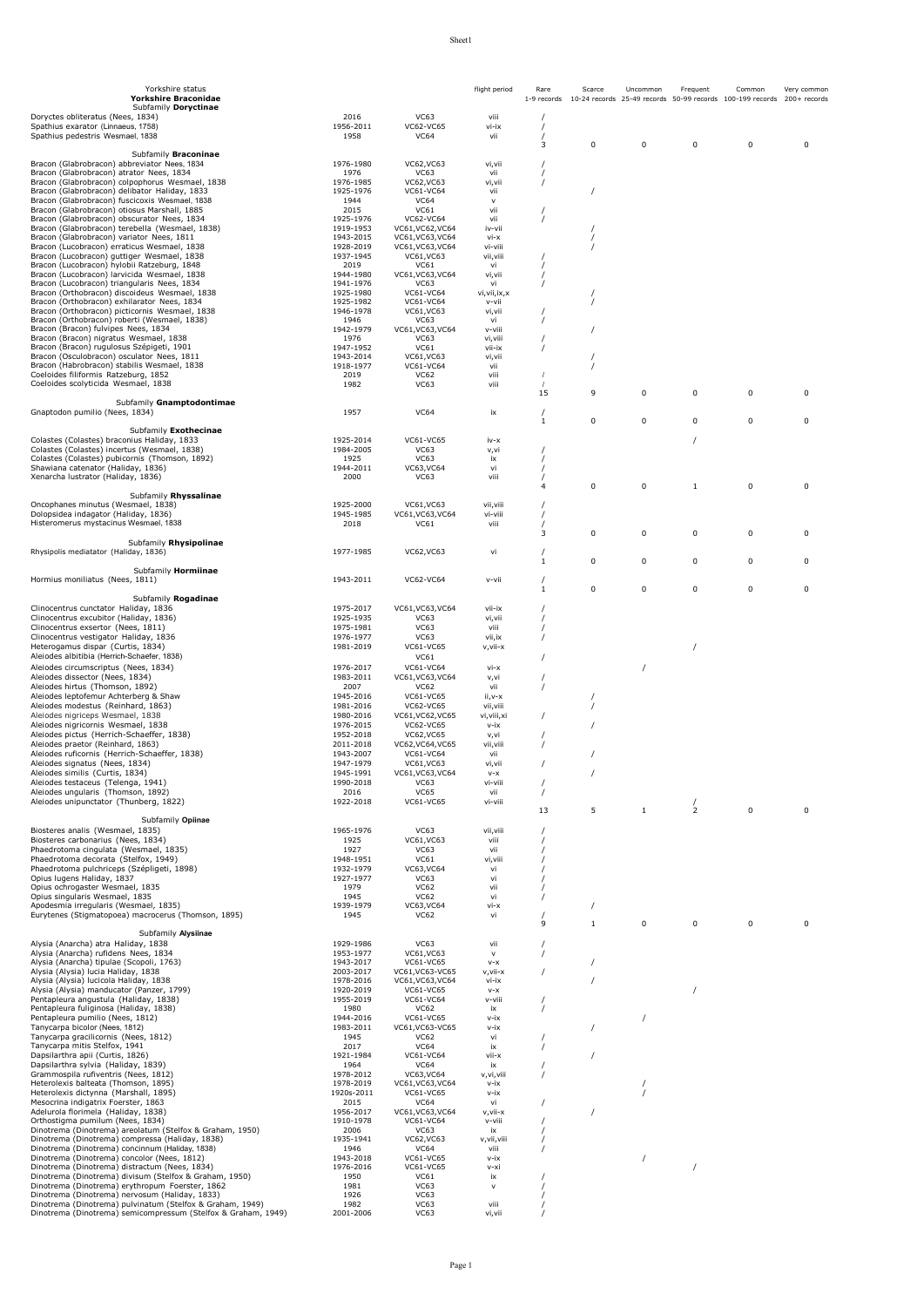| Yorkshire status<br>Yorkshire Braconidae                                                                                   |                        |                                      | flight period             | Rare<br>1-9 records | Scarce       | Uncommon     | Frequent       | Common<br>10-24 records 25-49 records 50-99 records 100-199 records 200+ records | Very common |
|----------------------------------------------------------------------------------------------------------------------------|------------------------|--------------------------------------|---------------------------|---------------------|--------------|--------------|----------------|----------------------------------------------------------------------------------|-------------|
| Subfamily Doryctinae<br>Doryctes obliteratus (Nees, 1834)                                                                  | 2016                   | <b>VC63</b>                          | viii                      |                     |              |              |                |                                                                                  |             |
| Spathius exarator (Linnaeus, 1758)<br>Spathius pedestris Wesmael, 1838                                                     | 1956-2011<br>1958      | VC62-VC65<br><b>VC64</b>             | vi-ix<br>vii              |                     |              |              |                |                                                                                  |             |
|                                                                                                                            |                        |                                      |                           | 3                   | 0            | 0            | 0              | 0                                                                                | 0           |
| Subfamily Braconinae<br>Bracon (Glabrobracon) abbreviator Nees, 1834                                                       | 1976-1980              | VC62, VC63                           | vi, vii                   |                     |              |              |                |                                                                                  |             |
| Bracon (Glabrobracon) atrator Nees, 1834<br>Bracon (Glabrobracon) colpophorus Wesmael, 1838                                | 1976<br>1976-1985      | VC63<br>VC62, VC63                   | vii<br>vi,vii             |                     |              |              |                |                                                                                  |             |
| Bracon (Glabrobracon) delibator Haliday, 1833                                                                              | 1925-1976              | VC61-VC64                            | vii                       |                     | $\prime$     |              |                |                                                                                  |             |
| Bracon (Glabrobracon) fuscicoxis Wesmael, 1838<br>Bracon (Glabrobracon) otiosus Marshall, 1885                             | 1944<br>2015           | <b>VC64</b><br>VC61                  | $\vee$<br>vii             |                     |              |              |                |                                                                                  |             |
| Bracon (Glabrobracon) obscurator Nees, 1834<br>Bracon (Glabrobracon) terebella (Wesmael, 1838)                             | 1925-1976<br>1919-1953 | VC62-VC64<br>VC61, VC62, VC64        | vii<br>iv-vii             |                     |              |              |                |                                                                                  |             |
| Bracon (Glabrobracon) variator Nees, 1811<br>Bracon (Lucobracon) erraticus Wesmael, 1838                                   | 1943-2015<br>1928-2019 | VC61, VC63, VC64<br>VC61, VC63, VC64 | $vi - x$<br>vi-viii       |                     |              |              |                |                                                                                  |             |
| Bracon (Lucobracon) guttiger Wesmael, 1838                                                                                 | 1937-1945              | VC61, VC63                           | vii, viii                 |                     |              |              |                |                                                                                  |             |
| Bracon (Lucobracon) hylobii Ratzeburg, 1848<br>Bracon (Lucobracon) larvicida Wesmael, 1838                                 | 2019<br>1944-1980      | VC61<br>VC61, VC63, VC64             | vi<br>vi,vii              |                     |              |              |                |                                                                                  |             |
| Bracon (Lucobracon) triangularis Nees, 1834<br>Bracon (Orthobracon) discoideus Wesmael, 1838                               | 1941-1976<br>1925-1980 | <b>VC63</b><br>VC61-VC64             | vi<br>vi, vii, ix, x      |                     |              |              |                |                                                                                  |             |
| Bracon (Orthobracon) exhilarator Nees, 1834<br>Bracon (Orthobracon) picticornis Wesmael, 1838                              | 1925-1982<br>1946-1978 | VC61-VC64<br>VC61, VC63              | v-vii<br>vi,vii           |                     |              |              |                |                                                                                  |             |
| Bracon (Orthobracon) roberti (Wesmael, 1838)                                                                               | 1946                   | VC63                                 | vi                        |                     |              |              |                |                                                                                  |             |
| Bracon (Bracon) fulvipes Nees, 1834<br>Bracon (Bracon) nigratus Wesmael, 1838                                              | 1942-1979<br>1976      | VC61, VC63, VC64<br>VC63             | v-viii<br>vi, viii        |                     |              |              |                |                                                                                  |             |
| Bracon (Bracon) rugulosus Szépigeti, 1901<br>Bracon (Osculobracon) osculator Nees, 1811                                    | 1947-1952<br>1943-2014 | <b>VC61</b><br>VC61, VC63            | vii-ix<br>vi,vii          |                     |              |              |                |                                                                                  |             |
| Bracon (Habrobracon) stabilis Wesmael, 1838<br>Coeloides filiformis Ratzeburg, 1852                                        | 1918-1977<br>2019      | VC61-VC64<br><b>VC62</b>             | vii<br>viii               | $\prime$            |              |              |                |                                                                                  |             |
| Coeloides scolyticida Wesmael, 1838                                                                                        | 1982                   | <b>VC63</b>                          | viii                      |                     |              |              |                |                                                                                  |             |
| Subfamily Gnamptodontimae                                                                                                  |                        |                                      |                           | 15                  | 9            | 0            | 0              | 0                                                                                | 0           |
| Gnaptodon pumilio (Nees, 1834)                                                                                             | 1957                   | <b>VC64</b>                          | ix                        | 1                   | 0            | 0            | $\mathbf 0$    | $\Omega$                                                                         | 0           |
| Subfamily Exothecinae                                                                                                      |                        |                                      |                           |                     |              |              |                |                                                                                  |             |
| Colastes (Colastes) braconius Haliday, 1833<br>Colastes (Colastes) incertus (Wesmael, 1838)                                | 1925-2014<br>1984-2005 | VC61-VC65<br><b>VC63</b>             | iv-x<br>v,vi              |                     |              |              |                |                                                                                  |             |
| Colastes (Colastes) pubicornis (Thomson, 1892)<br>Shawiana catenator (Haliday, 1836)                                       | 1925<br>1944-2011      | <b>VC63</b><br>VC63, VC64            | ix<br>vi                  |                     |              |              |                |                                                                                  |             |
| Xenarcha lustrator (Haliday, 1836)                                                                                         | 2000                   | <b>VC63</b>                          | viii                      | $\overline{4}$      | $\mathbf 0$  | 0            | $\mathbf{1}$   | 0                                                                                | 0           |
| Subfamily Rhyssalinae                                                                                                      |                        |                                      |                           |                     |              |              |                |                                                                                  |             |
| Oncophanes minutus (Wesmael, 1838)<br>Dolopsidea indagator (Haliday, 1836)                                                 | 1925-2000<br>1945-1985 | VC61, VC63<br>VC61, VC63, VC64       | vii, viii<br>vi-viii      |                     |              |              |                |                                                                                  |             |
| Histeromerus mystacinus Wesmael, 1838                                                                                      | 2018                   | VC61                                 | viii                      | 3                   | 0            | 0            | 0              | 0                                                                                | 0           |
| Subfamily Rhysipolinae                                                                                                     |                        |                                      |                           |                     |              |              |                |                                                                                  |             |
| Rhysipolis mediatator (Haliday, 1836)                                                                                      | 1977-1985              | VC62, VC63                           | vi                        | $\mathbf{1}$        | $\mathbf 0$  | 0            | $\Omega$       | 0                                                                                | 0           |
| Subfamily Hormiinae<br>Hormius moniliatus (Nees, 1811)                                                                     | 1943-2011              | VC62-VC64                            | v-vii                     |                     |              |              |                |                                                                                  |             |
|                                                                                                                            |                        |                                      |                           | $\mathbf{1}$        | 0            | 0            | $\mathbf 0$    | $\Omega$                                                                         | 0           |
| Subfamily Rogadinae<br>Clinocentrus cunctator Haliday, 1836                                                                | 1975-2017              | VC61, VC63, VC64                     | vii-ix                    |                     |              |              |                |                                                                                  |             |
| Clinocentrus excubitor (Haliday, 1836)<br>Clinocentrus exsertor (Nees, 1811)                                               | 1925-1935<br>1975-1981 | VC63<br><b>VC63</b>                  | vi,vii<br>viii            |                     |              |              |                |                                                                                  |             |
| Clinocentrus vestigator Haliday, 1836                                                                                      | 1976-1977              | <b>VC63</b>                          | vii, ix                   |                     |              |              |                |                                                                                  |             |
| Heterogamus dispar (Curtis, 1834)<br>Aleiodes albitibia (Herrich-Schaefer, 1838)                                           | 1981-2019              | VC61-VC65<br>VC61                    | v,vii-x                   |                     |              |              |                |                                                                                  |             |
| Aleiodes circumscriptus (Nees, 1834)<br>Aleiodes dissector (Nees, 1834)                                                    | 1976-2017<br>1983-2011 | VC61-VC64<br>VC61, VC63, VC64        | vi-x                      |                     |              | 1            |                |                                                                                  |             |
| Aleiodes hirtus (Thomson, 1892)                                                                                            | 2007                   | <b>VC62</b>                          | v,vi<br>vii               |                     |              |              |                |                                                                                  |             |
| Aleiodes leptofemur Achterberg & Shaw<br>Aleiodes modestus (Reinhard, 1863)                                                | 1945-2016<br>1981-2016 | VC61-VC65<br>VC62-VC65               | ii,v-x<br>vii, viii       |                     |              |              |                |                                                                                  |             |
| Aleiodes nigriceps Wesmael, 1838<br>Aleiodes nigricornis Wesmael, 1838                                                     | 1980-2016<br>1976-2015 | VC61, VC62, VC65                     | vi, viii, xi<br>$v - i x$ |                     |              |              |                |                                                                                  |             |
| Aleiodes pictus (Herrich-Schaeffer, 1838)                                                                                  | 1952-2018              | VC62-VC65<br><b>VC62, VC65</b>       | v.vi                      |                     |              |              |                |                                                                                  |             |
| Aleiodes praetor (Reinhard, 1863)<br>Aleiodes ruficornis (Herrich-Schaeffer, 1838)                                         | 2011-2018<br>1943-2007 | VC62, VC64, VC65<br>VC61-VC64        | vii, viii<br>vii          |                     |              |              |                |                                                                                  |             |
| Aleiodes signatus (Nees, 1834)<br>Aleiodes similis (Curtis, 1834)                                                          | 1947-1979<br>1945-1991 | VC61, VC63<br>VC61, VC63, VC64       | vi,vii<br>$V - X$         |                     |              |              |                |                                                                                  |             |
| Aleiodes testaceus (Telenga, 1941)                                                                                         | 1990-2018              | VC63                                 | vi-vii                    |                     |              |              |                |                                                                                  |             |
| Aleiodes ungularis (Thomson, 1892)<br>Aleiodes unipunctator (Thunberg, 1822)                                               | 2016<br>1922-2018      | <b>VC65</b><br>VC61-VC65             | vii<br>vi-viii            | $\prime$            |              |              |                |                                                                                  |             |
| Subfamily Opiinae                                                                                                          |                        |                                      |                           | 13                  | 5            | $\mathbf{1}$ | $\overline{2}$ | $\mathbf 0$                                                                      | $\mathbf 0$ |
| Biosteres analis (Wesmael, 1835)                                                                                           | 1965-1976              | VC63                                 | vii, viii                 |                     |              |              |                |                                                                                  |             |
| Biosteres carbonarius (Nees, 1834)<br>Phaedrotoma cinqulata (Wesmael, 1835)                                                | 1925<br>1927           | VC61, VC63<br>VC63                   | viii<br>vii               |                     |              |              |                |                                                                                  |             |
| Phaedrotoma decorata (Stelfox, 1949)<br>Phaedrotoma pulchriceps (Szépligeti, 1898)                                         | 1948-1951<br>1932-1979 | VC61<br>VC63.VC64                    | vi,viii<br>vi             |                     |              |              |                |                                                                                  |             |
| Opius lugens Haliday, 1837                                                                                                 | 1927-1977              | VC63                                 | vi                        |                     |              |              |                |                                                                                  |             |
| Opius ochrogaster Wesmael, 1835<br>Opius singularis Wesmael, 1835                                                          | 1979<br>1945           | <b>VC62</b><br><b>VC62</b>           | vii<br>vi                 |                     |              |              |                |                                                                                  |             |
| Apodesmia irregularis (Wesmael, 1835)<br>Eurytenes (Stigmatopoea) macrocerus (Thomson, 1895)                               | 1939-1979<br>1945      | VC63, VC64<br><b>VC62</b>            | $Vi - X$<br>vi            |                     | $\prime$     |              |                |                                                                                  |             |
| Subfamily Alysiinae                                                                                                        |                        |                                      |                           | 9                   | $\mathbf{1}$ | 0            | $\Omega$       | 0                                                                                | $\mathbf 0$ |
| Alysia (Anarcha) atra Haliday, 1838                                                                                        | 1929-1986              | <b>VC63</b>                          | vii                       |                     |              |              |                |                                                                                  |             |
| Alysia (Anarcha) rufidens Nees, 1834<br>Alysia (Anarcha) tipulae (Scopoli, 1763)                                           | 1953-1977<br>1943-2017 | VC61, VC63<br>VC61-VC65              | $\vee$<br>$V - X$         |                     |              |              |                |                                                                                  |             |
| Alysia (Alysia) lucia Haliday, 1838<br>Alysia (Alysia) lucicola Haliday, 1838                                              | 2003-2017<br>1978-2016 | VC61, VC63-VC65<br>VC61, VC63, VC64  | v,vii-x<br>vi-ix          |                     |              |              |                |                                                                                  |             |
| Alysia (Alysia) manducator (Panzer, 1799)                                                                                  | 1920-2019              | VC61-VC65                            | $V - X$                   |                     |              |              |                |                                                                                  |             |
| Pentapleura angustula (Haliday, 1838)<br>Pentapleura fuliginosa (Haliday, 1838)                                            | 1955-2019<br>1980      | VC61-VC64<br>VC62                    | v-viii<br>ix              |                     |              |              |                |                                                                                  |             |
| Pentapleura pumilio (Nees, 1812)<br>Tanycarpa bicolor (Nees, 1812)                                                         | 1944-2016<br>1983-2011 | VC61-VC65<br>VC61, VC63-VC65         | v-ix<br>$v - ix$          |                     |              |              |                |                                                                                  |             |
| Tanycarpa gracilicornis (Nees, 1812)                                                                                       | 1945                   | <b>VC62</b>                          | vi                        |                     |              |              |                |                                                                                  |             |
| Tanycarpa mitis Stelfox, 1941<br>Dapsilarthra apii (Curtis, 1826)                                                          | 2017<br>1921-1984      | <b>VC64</b><br>VC61-VC64             | ix<br>vii-x               |                     |              |              |                |                                                                                  |             |
| Dapsilarthra sylvia (Haliday, 1839)<br>Grammospila rufiventris (Nees, 1812)                                                | 1964<br>1978-2012      | <b>VC64</b><br>VC63, VC64            | ix<br>v, vi, viii         |                     |              |              |                |                                                                                  |             |
| Heterolexis balteata (Thomson, 1895)                                                                                       | 1978-2019              | VC61, VC63, VC64                     | v-ix                      |                     |              |              |                |                                                                                  |             |
| Heterolexis dictynna (Marshall, 1895)<br>Mesocrina indigatrix Foerster, 1863                                               | 1920s-2011<br>2015     | VC61-VC65<br><b>VC64</b>             | v-ix<br>vi                |                     |              |              |                |                                                                                  |             |
| Adelurola florimela (Haliday, 1838)<br>Orthostigma pumilum (Nees, 1834)                                                    | 1956-2017<br>1910-1978 | VC61, VC63, VC64<br>VC61-VC64        | v,vii-x<br>v-viii         |                     |              |              |                |                                                                                  |             |
| Dinotrema (Dinotrema) areolatum (Stelfox & Graham, 1950)                                                                   | 2006                   | <b>VC63</b>                          | ix                        |                     |              |              |                |                                                                                  |             |
| Dinotrema (Dinotrema) compressa (Haliday, 1838)<br>Dinotrema (Dinotrema) concinnum (Haliday, 1838)                         | 1935-1941<br>1946      | VC62, VC63<br><b>VC64</b>            | v, vii, viii<br>viii      |                     |              |              |                |                                                                                  |             |
| Dinotrema (Dinotrema) concolor (Nees, 1812)<br>Dinotrema (Dinotrema) distractum (Nees, 1834)                               | 1943-2018<br>1976-2016 | VC61-VC65<br>VC61-VC65               | $v - i x$<br>v-xi         |                     |              |              | $\prime$       |                                                                                  |             |
| Dinotrema (Dinotrema) divisum (Stelfox & Graham, 1950)<br>Dinotrema (Dinotrema) erythropum Foerster, 1862                  | 1950<br>1981           | VC61<br><b>VC63</b>                  | ix<br>$\vee$              |                     |              |              |                |                                                                                  |             |
| Dinotrema (Dinotrema) nervosum (Haliday, 1833)                                                                             | 1926                   | <b>VC63</b>                          |                           |                     |              |              |                |                                                                                  |             |
| Dinotrema (Dinotrema) pulvinatum (Stelfox & Graham, 1949)<br>Dinotrema (Dinotrema) semicompressum (Stelfox & Graham, 1949) | 1982<br>2001-2006      | <b>VC63</b><br><b>VC63</b>           | viii<br>vi,vii            |                     |              |              |                |                                                                                  |             |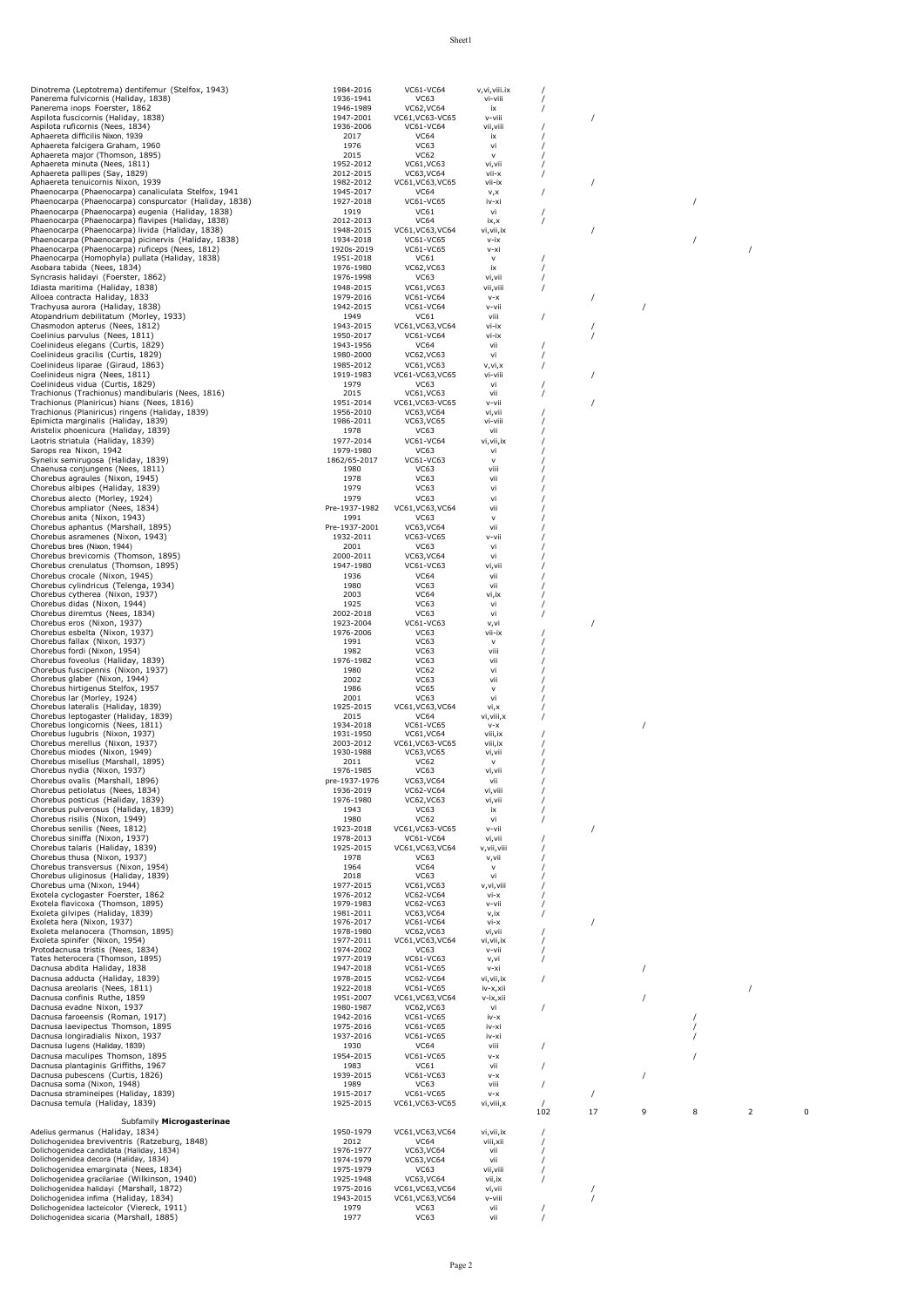| Dinotrema (Leptotrema) dentifemur (Stelfox, 1943)                                                       | 1984-2016                  | VC61-VC64                       | v, vi, viii. ix         |     |          |          |   |   |   |
|---------------------------------------------------------------------------------------------------------|----------------------------|---------------------------------|-------------------------|-----|----------|----------|---|---|---|
| Panerema fulvicornis (Haliday, 1838)                                                                    | 1936-1941                  | VC63                            | vi-viii                 |     |          |          |   |   |   |
| Panerema inops Foerster, 1862                                                                           | 1946-1989                  | VC62, VC64                      | ix                      |     |          |          |   |   |   |
| Aspilota fuscicornis (Haliday, 1838)                                                                    | 1947-2001                  | VC61, VC63-VC65                 | v-viii                  |     |          |          |   |   |   |
| Aspilota ruficornis (Nees, 1834)<br>Aphaereta difficilis Nixon, 1939                                    | 1936-2006<br>2017          | VC61-VC64<br><b>VC64</b>        | vii, viii<br>ix         |     |          |          |   |   |   |
| Aphaereta falcigera Graham, 1960                                                                        | 1976                       | <b>VC63</b>                     | vi                      |     |          |          |   |   |   |
| Aphaereta major (Thomson, 1895)                                                                         | 2015                       | VC62                            | $\mathsf{v}$            |     |          |          |   |   |   |
| Aphaereta minuta (Nees, 1811)                                                                           | 1952-2012                  | VC61, VC63                      | vi, vii                 |     |          |          |   |   |   |
| Aphaereta pallipes (Say, 1829)                                                                          | 2012-2015                  | VC63, VC64                      | vii-x                   |     |          |          |   |   |   |
| Aphaereta tenuicornis Nixon, 1939<br>Phaenocarpa (Phaenocarpa) canaliculata Stelfox, 1941               | 1982-2012<br>1945-2017     | VC61, VC63, VC65<br><b>VC64</b> | vii-ix<br>v,x           |     |          |          |   |   |   |
| Phaenocarpa (Phaenocarpa) conspurcator (Haliday, 1838)                                                  | 1927-2018                  | VC61-VC65                       | iv-xi                   |     |          |          |   |   |   |
| Phaenocarpa (Phaenocarpa) eugenia (Haliday, 1838)                                                       | 1919                       | VC61                            | vi                      |     |          |          |   |   |   |
| Phaenocarpa (Phaenocarpa) flavipes (Haliday, 1838)                                                      | 2012-2013                  | <b>VC64</b>                     | ix, x                   |     |          |          |   |   |   |
| Phaenocarpa (Phaenocarpa) livida (Haliday, 1838)                                                        | 1948-2015                  | VC61, VC63, VC64                | vi, vii, ix             |     |          |          |   |   |   |
| Phaenocarpa (Phaenocarpa) picinervis (Haliday, 1838)<br>Phaenocarpa (Phaenocarpa) ruficeps (Nees, 1812) | 1934-2018<br>1920s-2019    | VC61-VC65<br>VC61-VC65          | v-ix<br>v-xi            |     |          |          |   |   |   |
| Phaenocarpa (Homophyla) pullata (Haliday, 1838)                                                         | 1951-2018                  | VC61                            | $\mathsf{V}$            |     |          |          |   |   |   |
| Asobara tabida (Nees, 1834)                                                                             | 1976-1980                  | VC62, VC63                      | ix                      |     |          |          |   |   |   |
| Syncrasis halidayi (Foerster, 1862)                                                                     | 1976-1998                  | VC63                            | vi, vii                 |     |          |          |   |   |   |
| Idiasta maritima (Haliday, 1838)                                                                        | 1948-2015                  | VC61, VC63                      | vii, viii               |     |          |          |   |   |   |
| Alloea contracta Haliday, 1833                                                                          | 1979-2016                  | VC61-VC64                       | $V-X$                   |     |          |          |   |   |   |
| Trachyusa aurora (Haliday, 1838)                                                                        | 1942-2015                  | VC61-VC64                       | v-vii                   |     |          |          |   |   |   |
| Atopandrium debilitatum (Morley, 1933)<br>Chasmodon apterus (Nees, 1812)                                | 1949<br>1943-2015          | <b>VC61</b><br>VC61, VC63, VC64 | viii<br>vi-ix           |     |          |          |   |   |   |
| Coelinius parvulus (Nees, 1811)                                                                         | 1950-2017                  | VC61-VC64                       | vi-ix                   |     |          |          |   |   |   |
| Coelinideus elegans (Curtis, 1829)                                                                      | 1943-1956                  | <b>VC64</b>                     | vii                     |     |          |          |   |   |   |
| Coelinideus gracilis (Curtis, 1829)                                                                     | 1980-2000                  | VC62, VC63                      | vi                      |     |          |          |   |   |   |
| Coelinideus liparae (Giraud, 1863)                                                                      | 1985-2012                  | VC61, VC63                      | v, vi, x                |     |          |          |   |   |   |
| Coelinideus nigra (Nees, 1811)                                                                          | 1919-1983                  | VC61-VC63, VC65                 | vi-viii                 |     |          |          |   |   |   |
| Coelinideus vidua (Curtis, 1829)                                                                        | 1979                       | VC63                            | vi                      |     |          |          |   |   |   |
| Trachionus (Trachionus) mandibularis (Nees, 1816)<br>Trachionus (Planiricus) hians (Nees, 1816)         | 2015<br>1951-2014          | VC61, VC63<br>VC61, VC63-VC65   | vii                     |     |          |          |   |   |   |
| Trachionus (Planiricus) ringens (Haliday, 1839)                                                         | 1956-2010                  | VC63, VC64                      | v-vii<br>vi,vii         |     |          |          |   |   |   |
| Epimicta marginalis (Haliday, 1839)                                                                     | 1986-2011                  | VC63, VC65                      | vi-viii                 |     |          |          |   |   |   |
| Aristelix phoenicura (Haliday, 1839)                                                                    | 1978                       | VC63                            | vii                     |     |          |          |   |   |   |
| Laotris striatula (Haliday, 1839)                                                                       | 1977-2014                  | VC61-VC64                       | vi, vii, ix             |     |          |          |   |   |   |
| Sarops rea Nixon, 1942                                                                                  | 1979-1980                  | VC63                            | vi                      |     |          |          |   |   |   |
| Synelix semirugosa (Haliday, 1839)                                                                      | 1862/65-2017               | VC61-VC63                       | $\mathsf{v}$            |     |          |          |   |   |   |
| Chaenusa conjungens (Nees, 1811)<br>Chorebus agraules (Nixon, 1945)                                     | 1980                       | VC63                            | viii                    |     |          |          |   |   |   |
| Chorebus albipes (Haliday, 1839)                                                                        | 1978<br>1979               | VC63<br>VC63                    | vii<br>vi               |     |          |          |   |   |   |
| Chorebus alecto (Morley, 1924)                                                                          | 1979                       | VC63                            | vi                      |     |          |          |   |   |   |
| Chorebus ampliator (Nees, 1834)                                                                         | Pre-1937-1982              | VC61, VC63, VC64                | vii                     |     |          |          |   |   |   |
| Chorebus anita (Nixon, 1943)                                                                            | 1991                       | VC63                            | $\mathsf{v}$            |     |          |          |   |   |   |
| Chorebus aphantus (Marshall, 1895)                                                                      | Pre-1937-2001              | VC63, VC64                      | vii                     |     |          |          |   |   |   |
| Chorebus asramenes (Nixon, 1943)                                                                        | 1932-2011                  | VC63-VC65                       | v-vii                   |     |          |          |   |   |   |
| Chorebus bres (Nixon, 1944)                                                                             | 2001                       | VC63                            | vi                      |     |          |          |   |   |   |
| Chorebus brevicornis (Thomson, 1895)                                                                    | 2000-2011                  | VC63, VC64                      | vi                      |     |          |          |   |   |   |
| Chorebus crenulatus (Thomson, 1895)                                                                     | 1947-1980                  | VC61-VC63                       | vi,vii                  |     |          |          |   |   |   |
| Chorebus crocale (Nixon, 1945)<br>Chorebus cylindricus (Telenga, 1934)                                  | 1936<br>1980               | <b>VC64</b><br>VC63             | vii<br>vii              |     |          |          |   |   |   |
| Chorebus cytherea (Nixon, 1937)                                                                         | 2003                       | <b>VC64</b>                     | vi, ix                  |     |          |          |   |   |   |
| Chorebus didas (Nixon, 1944)                                                                            | 1925                       | VC63                            | vi                      |     |          |          |   |   |   |
| Chorebus diremtus (Nees, 1834)                                                                          | 2002-2018                  | VC63                            | vi                      |     |          |          |   |   |   |
| Chorebus eros (Nixon, 1937)                                                                             | 1923-2004                  | VC61-VC63                       | v,vi                    |     |          |          |   |   |   |
| Chorebus esbelta (Nixon, 1937)                                                                          | 1976-2006                  | VC63                            | vii-ix                  |     |          |          |   |   |   |
| Chorebus fallax (Nixon, 1937)<br>Chorebus fordi (Nixon, 1954)                                           | 1991                       | VC63                            | $\mathsf{v}$            |     |          |          |   |   |   |
| Chorebus foveolus (Haliday, 1839)                                                                       | 1982<br>1976-1982          | VC63<br>VC63                    | viii<br>vii             |     |          |          |   |   |   |
| Chorebus fuscipennis (Nixon, 1937)                                                                      | 1980                       | <b>VC62</b>                     | vi                      |     |          |          |   |   |   |
| Chorebus glaber (Nixon, 1944)                                                                           | 2002                       | VC63                            | vii                     |     |          |          |   |   |   |
| Chorebus hirtigenus Stelfox, 1957                                                                       | 1986                       | <b>VC65</b>                     | $\mathsf{v}$            |     |          |          |   |   |   |
| Chorebus lar (Morley, 1924)                                                                             | 2001                       | VC63                            | vi                      |     |          |          |   |   |   |
| Chorebus lateralis (Haliday, 1839)                                                                      | 1925-2015                  | VC61, VC63, VC64                | vi,x                    |     |          |          |   |   |   |
| Chorebus leptogaster (Haliday, 1839)<br>Chorebus longicornis (Nees, 1811)                               | 2015<br>1934-2018          | <b>VC64</b><br>VC61-VC65        | vi, viii, x<br>$V - X$  |     |          | $\prime$ |   |   |   |
| Chorebus lugubris (Nixon, 1937)                                                                         | 1931-1950                  | VC61.VC64                       | viii, ix                |     |          |          |   |   |   |
| Chorebus merellus (Nixon, 1937)                                                                         | 2003-2012                  | VC61, VC63-VC65                 | viii, ix                |     |          |          |   |   |   |
| Chorebus miodes (Nixon, 1949)                                                                           | 1930-1988                  | VC63, VC65                      | vi, vii                 |     |          |          |   |   |   |
| Chorebus misellus (Marshall, 1895)                                                                      | 2011                       | <b>VC62</b>                     | $\mathsf{v}$            |     |          |          |   |   |   |
| Chorebus nydia (Nixon, 1937)<br>Chorebus ovalis (Marshall, 1896)                                        | 1976-1985<br>pre-1937-1976 | VC63                            | vi,vii<br>vii           |     |          |          |   |   |   |
| Chorebus petiolatus (Nees, 1834)                                                                        | 1936-2019                  | VC63, VC64<br>VC62-VC64         | vi, viii                |     |          |          |   |   |   |
| Chorebus posticus (Haliday, 1839)                                                                       | 1976-1980                  | VC62, VC63                      | vi, vii                 |     |          |          |   |   |   |
| Chorebus pulverosus (Haliday, 1839)                                                                     | 1943                       | VC63                            | ix                      |     |          |          |   |   |   |
| Chorebus risilis (Nixon, 1949)                                                                          | 1980                       | <b>VC62</b>                     | vi                      |     |          |          |   |   |   |
| Chorebus senilis (Nees, 1812)                                                                           | 1923-2018                  | VC61, VC63-VC65                 | v-vii                   |     | $\prime$ |          |   |   |   |
| Chorebus siniffa (Nixon, 1937)                                                                          | 1978-2013                  | VC61-VC64                       | vi, vii                 |     |          |          |   |   |   |
| Chorebus talaris (Haliday, 1839)                                                                        | 1925-2015                  | VC61, VC63, VC64                | v, vii, viii            |     |          |          |   |   |   |
| Chorebus thusa (Nixon, 1937)<br>Chorebus transversus (Nixon, 1954)                                      | 1978<br>1964               | VC63<br><b>VC64</b>             | v,vii<br>$\mathsf{v}$   |     |          |          |   |   |   |
| Chorebus uliginosus (Haliday, 1839)                                                                     | 2018                       | VC63                            | vi                      |     |          |          |   |   |   |
| Chorebus uma (Nixon, 1944)                                                                              | 1977-2015                  | VC61, VC63                      | v, vi, viii             |     |          |          |   |   |   |
| Exotela cyclogaster Foerster, 1862                                                                      | 1976-2012                  | VC62-VC64                       | vi-x                    |     |          |          |   |   |   |
| Exotela flavicoxa (Thomson, 1895)                                                                       | 1979-1983                  | VC62-VC63                       | v-vii                   |     |          |          |   |   |   |
| Exoleta gilvipes (Haliday, 1839)<br>Exoleta hera (Nixon, 1937)                                          | 1981-2011<br>1976-2017     | VC63, VC64<br>VC61-VC64         | v,ix<br>$Vi - X$        |     |          |          |   |   |   |
| Exoleta melanocera (Thomson, 1895)                                                                      | 1978-1980                  | VC62, VC63                      | vi, vii                 |     |          |          |   |   |   |
| Exoleta spinifer (Nixon, 1954)                                                                          | 1977-2011                  | VC61, VC63, VC64                | vi, vii, ix             |     |          |          |   |   |   |
| Protodacnusa tristis (Nees, 1834)                                                                       | 1974-2002                  | VC63                            | v-vii                   |     |          |          |   |   |   |
| Tates heterocera (Thomson, 1895)                                                                        | 1977-2019                  | VC61-VC63                       | v,vi                    |     |          |          |   |   |   |
| Dacnusa abdita Haliday, 1838<br>Dacnusa adducta (Haliday, 1839)                                         | 1947-2018                  | VC61-VC65                       | v-xi                    |     |          |          |   |   |   |
| Dacnusa areolaris (Nees, 1811)                                                                          | 1978-2015<br>1922-2018     | VC62-VC64<br>VC61-VC65          | vi, vii, ix<br>iv-x,xii |     |          |          |   |   |   |
| Dacnusa confinis Ruthe, 1859                                                                            | 1951-2007                  | VC61, VC63, VC64                | v-ix,xii                |     |          |          |   |   |   |
| Dacnusa evadne Nixon, 1937                                                                              | 1980-1987                  | VC62, VC63                      | vi                      |     |          |          |   |   |   |
| Dacnusa faroeensis (Roman, 1917)                                                                        | 1942-2016                  | VC61-VC65                       | iv-x                    |     |          |          |   |   |   |
| Dacnusa laevipectus Thomson, 1895                                                                       | 1975-2016                  | VC61-VC65                       | iv-xi                   |     |          |          |   |   |   |
| Dacnusa longiradialis Nixon, 1937                                                                       | 1937-2016                  | VC61-VC65                       | iv-xi                   |     |          |          |   |   |   |
| Dacnusa lugens (Haliday, 1839)                                                                          | 1930                       | <b>VC64</b>                     | viii                    |     |          |          |   |   |   |
| Dacnusa maculipes Thomson, 1895                                                                         | 1954-2015                  | VC61-VC65                       | $V - X$                 |     |          |          |   |   |   |
| Dacnusa plantaginis Griffiths, 1967<br>Dacnusa pubescens (Curtis, 1826)                                 | 1983<br>1939-2015          | VC61<br>VC61-VC63               | vii                     |     |          |          |   |   |   |
| Dacnusa soma (Nixon, 1948)                                                                              | 1989                       | VC63                            | $V - X$<br>viii         |     |          |          |   |   |   |
| Dacnusa stramineipes (Haliday, 1839)                                                                    | 1915-2017                  | VC61-VC65                       | $V-X$                   |     |          |          |   |   |   |
| Dacnusa temula (Haliday, 1839)                                                                          | 1925-2015                  | VC61, VC63-VC65                 | vi, viii, x             |     |          |          |   |   |   |
|                                                                                                         |                            |                                 |                         | 102 | 17       | 9        | 8 | 2 | 0 |
| Subfamily Microgasterinae                                                                               |                            |                                 |                         |     |          |          |   |   |   |
| Adelius germanus (Haliday, 1834)                                                                        | 1950-1979                  | VC61, VC63, VC64                | vi, vii, ix             |     |          |          |   |   |   |
| Dolichogenidea breviventris (Ratzeburg, 1848)<br>Dolichogenidea candidata (Haliday, 1834)               | 2012<br>1976-1977          | <b>VC64</b><br>VC63, VC64       | viii, xii<br>vii        |     |          |          |   |   |   |
| Dolichogenidea decora (Haliday, 1834)                                                                   | 1974-1979                  | VC63, VC64                      | vii                     |     |          |          |   |   |   |
| Dolichogenidea emarginata (Nees, 1834)                                                                  | 1975-1979                  | VC63                            | vii, viii               |     |          |          |   |   |   |
| Dolichogenidea gracilariae (Wilkinson, 1940)                                                            | 1925-1948                  | VC63, VC64                      | vii,ix                  |     |          |          |   |   |   |
| Dolichogenidea halidayi (Marshall, 1872)                                                                | 1975-2016                  | VC61, VC63, VC64                | vi, vii                 |     |          |          |   |   |   |
| Dolichogenidea infima (Haliday, 1834)                                                                   | 1943-2015                  | VC61, VC63, VC64                | v-viii                  |     |          |          |   |   |   |
|                                                                                                         |                            |                                 |                         |     |          |          |   |   |   |
| Dolichogenidea lacteicolor (Viereck, 1911)<br>Dolichogenidea sicaria (Marshall, 1885)                   | 1979<br>1977               | VC63<br>VC63                    | vii<br>vii              |     |          |          |   |   |   |

Sheet1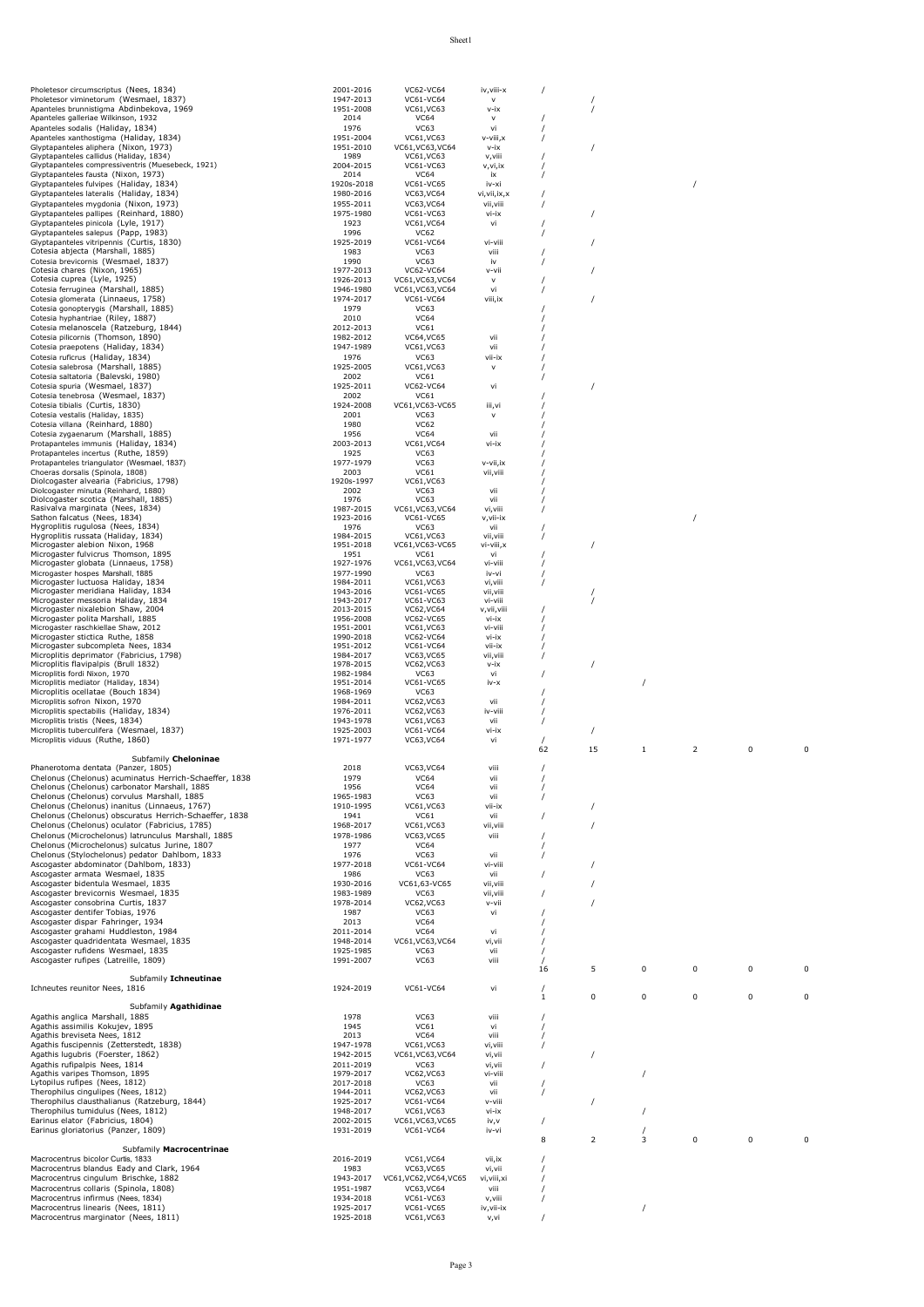|                                                                                                       | 2001-2016               | <b>VC62-VC64</b>                | iv,viii-x                   | $\prime$     |                |                         |   |          |             |
|-------------------------------------------------------------------------------------------------------|-------------------------|---------------------------------|-----------------------------|--------------|----------------|-------------------------|---|----------|-------------|
| Pholetesor viminetorum (Wesmael, 1837)                                                                | 1947-2013               | VC61-VC64                       | $\mathsf{v}$                |              |                |                         |   |          |             |
| Apanteles brunnistigma Abdinbekova, 1969<br>Apanteles galleriae Wilkinson, 1932                       | 1951-2008<br>2014       | VC61, VC63<br><b>VC64</b>       | v-ix<br>V                   |              |                |                         |   |          |             |
| Apanteles sodalis (Haliday, 1834)                                                                     | 1976                    | VC63                            | vi                          |              |                |                         |   |          |             |
| Apanteles xanthostigma (Haliday, 1834)                                                                | 1951-2004               | VC61, VC63                      | v-viii, x                   |              |                |                         |   |          |             |
| Glyptapanteles aliphera (Nixon, 1973)<br>Glyptapanteles callidus (Haliday, 1834)                      | 1951-2010<br>1989       | VC61, VC63, VC64<br>VC61, VC63  | v-ix<br>v, viii             |              |                |                         |   |          |             |
| Glyptapanteles compressiventris (Muesebeck, 1921)                                                     | 2004-2015               | VC61-VC63                       | v,vi,ix                     |              |                |                         |   |          |             |
| Glyptapanteles fausta (Nixon, 1973)                                                                   | 2014                    | <b>VC64</b>                     | ix                          |              |                |                         |   |          |             |
| Glyptapanteles fulvipes (Haliday, 1834)<br>Glyptapanteles lateralis (Haliday, 1834)                   | 1920s-2018<br>1980-2016 | VC61-VC65<br>VC63, VC64         | iv-xi                       |              |                |                         |   |          |             |
| Glyptapanteles mygdonia (Nixon, 1973)                                                                 | 1955-2011               | VC63, VC64                      | vi, vii, ix, x<br>vii, viii | $\prime$     |                |                         |   |          |             |
| Glyptapanteles pallipes (Reinhard, 1880)                                                              | 1975-1980               | VC61-VC63                       | vi-ix                       |              |                |                         |   |          |             |
| Glyptapanteles pinicola (Lyle, 1917)                                                                  | 1923                    | VC61, VC64                      | vi                          |              |                |                         |   |          |             |
| Glyptapanteles salepus (Papp, 1983)                                                                   | 1996                    | VC62                            |                             | $\prime$     |                |                         |   |          |             |
| Glyptapanteles vitripennis (Curtis, 1830)<br>Cotesia abjecta (Marshall, 1885)                         | 1925-2019<br>1983       | VC61-VC64<br>VC63               | vi-viii<br>viii             |              |                |                         |   |          |             |
| Cotesia brevicornis (Wesmael, 1837)                                                                   | 1990                    | <b>VC63</b>                     | iv                          |              |                |                         |   |          |             |
| Cotesia chares (Nixon, 1965)                                                                          | 1977-2013               | VC62-VC64                       | v-vii                       |              |                |                         |   |          |             |
| Cotesia cuprea (Lyle, 1925)                                                                           | 1926-2013               | VC61, VC63, VC64                | v                           |              |                |                         |   |          |             |
| Cotesia ferruginea (Marshall, 1885)<br>Cotesia glomerata (Linnaeus, 1758)                             | 1946-1980               | VC61, VC63, VC64                | vi                          |              |                |                         |   |          |             |
| Cotesia gonopterygis (Marshall, 1885)                                                                 | 1974-2017<br>1979       | VC61-VC64<br><b>VC63</b>        | viii, ix                    |              |                |                         |   |          |             |
| Cotesia hyphantriae (Riley, 1887)                                                                     | 2010                    | <b>VC64</b>                     |                             |              |                |                         |   |          |             |
| Cotesia melanoscela (Ratzeburg, 1844)                                                                 | 2012-2013               | VC61                            |                             |              |                |                         |   |          |             |
| Cotesia pilicornis (Thomson, 1890)                                                                    | 1982-2012               | <b>VC64, VC65</b>               | vii                         |              |                |                         |   |          |             |
| Cotesia praepotens (Haliday, 1834)                                                                    | 1947-1989               | VC61, VC63                      | vii                         |              |                |                         |   |          |             |
| Cotesia ruficrus (Haliday, 1834)<br>Cotesia salebrosa (Marshall, 1885)                                | 1976<br>1925-2005       | VC63<br>VC61, VC63              | vii-ix<br>$\mathsf{v}$      |              |                |                         |   |          |             |
| Cotesia saltatoria (Balevski, 1980)                                                                   | 2002                    | VC61                            |                             |              |                |                         |   |          |             |
| Cotesia spuria (Wesmael, 1837)                                                                        | 1925-2011               | VC62-VC64                       | vi                          |              |                |                         |   |          |             |
| Cotesia tenebrosa (Wesmael, 1837)                                                                     | 2002                    | VC61                            |                             |              |                |                         |   |          |             |
| Cotesia tibialis (Curtis, 1830)                                                                       | 1924-2008<br>2001       | VC61, VC63-VC65<br>VC63         | iii,vi<br>v                 |              |                |                         |   |          |             |
| Cotesia vestalis (Haliday, 1835)<br>Cotesia villana (Reinhard, 1880)                                  | 1980                    | <b>VC62</b>                     |                             |              |                |                         |   |          |             |
| Cotesia zygaenarum (Marshall, 1885)                                                                   | 1956                    | <b>VC64</b>                     | vii                         |              |                |                         |   |          |             |
| Protapanteles immunis (Haliday, 1834)                                                                 | 2003-2013               | VC61, VC64                      | vi-ix                       |              |                |                         |   |          |             |
| Protapanteles incertus (Ruthe, 1859)                                                                  | 1925                    | VC63                            |                             |              |                |                         |   |          |             |
| Protapanteles triangulator (Wesmael, 1837)<br>Choeras dorsalis (Spinola, 1808)                        | 1977-1979<br>2003       | <b>VC63</b><br>VC61             | v-vii,ix                    |              |                |                         |   |          |             |
| Diolcogaster alvearia (Fabricius, 1798)                                                               | 1920s-1997              | VC61, VC63                      | vii, viii                   |              |                |                         |   |          |             |
| Diolcogaster minuta (Reinhard, 1880)                                                                  | 2002                    | VC63                            | vii                         |              |                |                         |   |          |             |
| Diolcogaster scotica (Marshall, 1885)                                                                 | 1976                    | <b>VC63</b>                     | vii                         |              |                |                         |   |          |             |
| Rasivalva marginata (Nees, 1834)<br>Sathon falcatus (Nees, 1834)                                      | 1987-2015<br>1923-2016  | VC61, VC63, VC64<br>VC61-VC65   | vi, viii                    |              |                |                         |   |          |             |
| Hygroplitis rugulosa (Nees, 1834)                                                                     | 1976                    | VC63                            | v,vii-ix<br>vii             |              |                |                         |   |          |             |
| Hygroplitis russata (Haliday, 1834)                                                                   | 1984-2015               | VC61, VC63                      | vii, viii                   |              |                |                         |   |          |             |
| Microgaster alebion Nixon, 1968                                                                       | 1951-2018               | VC61, VC63-VC65                 | vi-viii,x                   |              |                |                         |   |          |             |
| Microgaster fulvicrus Thomson, 1895<br>Microgaster globata (Linnaeus, 1758)                           | 1951<br>1927-1976       | VC61<br>VC61, VC63, VC64        | vi<br>vi-viii               |              |                |                         |   |          |             |
| Microgaster hospes Marshall, 1885                                                                     | 1977-1990               | VC63                            | iv-vi                       |              |                |                         |   |          |             |
| Microgaster luctuosa Haliday, 1834                                                                    | 1984-2011               | VC61, VC63                      | vi, viii                    |              |                |                         |   |          |             |
| Microgaster meridiana Haliday, 1834                                                                   | 1943-2016               | VC61-VC65                       | vii, viii                   |              |                |                         |   |          |             |
| Microgaster messoria Haliday, 1834<br>Microgaster nixalebion Shaw, 2004                               | 1943-2017<br>2013-2015  | VC61-VC63<br>VC62, VC64         | vi-viii                     |              |                |                         |   |          |             |
| Microgaster polita Marshall, 1885                                                                     | 1956-2008               | VC62-VC65                       | v,vii,viii<br>vi-ix         |              |                |                         |   |          |             |
| Microgaster raschkiellae Shaw, 2012                                                                   | 1951-2001               | VC61, VC63                      | vi-viii                     |              |                |                         |   |          |             |
| Microgaster stictica Ruthe, 1858                                                                      | 1990-2018               | VC62-VC64                       | vi-ix                       |              |                |                         |   |          |             |
| Microgaster subcompleta Nees, 1834<br>Microplitis deprimator (Fabricius, 1798)                        | 1951-2012<br>1984-2017  | VC61-VC64<br>VC63, VC65         | vii-ix<br>vii, viii         |              |                |                         |   |          |             |
| Microplitis flavipalpis (Brull 1832)                                                                  | 1978-2015               | VC62, VC63                      | $v - ix$                    |              |                |                         |   |          |             |
| Microplitis fordi Nixon, 1970                                                                         | 1982-1984               | VC63                            | vi                          |              |                |                         |   |          |             |
| Microplitis mediator (Haliday, 1834)                                                                  | 1951-2014               | VC61-VC65                       | iv-x                        |              |                |                         |   |          |             |
| Microplitis ocellatae (Bouch 1834)                                                                    | 1968-1969               | VC63<br>VC62, VC63              | vii                         |              |                |                         |   |          |             |
|                                                                                                       |                         |                                 |                             |              |                |                         |   |          |             |
| Microplitis sofron Nixon, 1970                                                                        | 1984-2011               |                                 |                             |              |                |                         |   |          |             |
| Microplitis spectabilis (Haliday, 1834)<br>Microplitis tristis (Nees, 1834)                           | 1976-2011<br>1943-1978  | VC62, VC63<br>VC61, VC63        | iv-viii<br>vii              |              |                |                         |   |          |             |
| Microplitis tuberculifera (Wesmael, 1837)                                                             | 1925-2003               | VC61-VC64                       | vi-ix                       |              |                |                         |   |          |             |
| Microplitis viduus (Ruthe, 1860)                                                                      | 1971-1977               | VC63, VC64                      | vi                          |              |                |                         |   |          |             |
|                                                                                                       |                         |                                 |                             | 62           | 15             | $\mathbf{1}$            | 2 | 0        | 0           |
| Subfamily Cheloninae                                                                                  |                         |                                 | viii                        |              |                |                         |   |          |             |
| Phanerotoma dentata (Panzer, 1805)<br>Chelonus (Chelonus) acuminatus Herrich-Schaeffer, 1838          | 2018<br>1979            | VC63, VC64<br>VC64              | vii                         |              |                |                         |   |          |             |
| Chelonus (Chelonus) carbonator Marshall, 1885                                                         | 1956                    | <b>VC64</b>                     | vii                         |              |                |                         |   |          |             |
| Chelonus (Chelonus) corvulus Marshall, 1885                                                           | 1965-1983               | <b>VC63</b>                     | vii                         |              |                |                         |   |          |             |
| Chelonus (Chelonus) inanitus (Linnaeus, 1767)                                                         | 1910-1995               | VC61, VC63                      | vii-ix                      |              |                |                         |   |          |             |
| Chelonus (Chelonus) obscuratus Herrich-Schaeffer, 1838                                                | 1941<br>1968-2017       | VC61                            | vii                         |              |                |                         |   |          |             |
| Chelonus (Chelonus) oculator (Fabricius, 1785)<br>Chelonus (Microchelonus) latrunculus Marshall, 1885 | 1978-1986               | VC61, VC63<br>VC63, VC65        | vii, viii<br>viii           |              |                |                         |   |          |             |
| Chelonus (Microchelonus) sulcatus Jurine, 1807                                                        | 1977                    | <b>VC64</b>                     |                             |              |                |                         |   |          |             |
| Chelonus (Stylochelonus) pedator Dahlbom, 1833                                                        | 1976                    | <b>VC63</b>                     | vii                         |              |                |                         |   |          |             |
| Ascogaster abdominator (Dahlbom, 1833)                                                                | 1977-2018               | VC61-VC64                       | vi-viii                     |              |                |                         |   |          |             |
| Ascogaster armata Wesmael, 1835<br>Ascogaster bidentula Wesmael, 1835                                 | 1986<br>1930-2016       | <b>VC63</b><br>VC61,63-VC65     | vii<br>vii, viii            |              |                |                         |   |          |             |
| Ascogaster brevicornis Wesmael, 1835                                                                  | 1983-1989               | <b>VC63</b>                     | vii, viii                   |              |                |                         |   |          |             |
| Ascogaster consobrina Curtis, 1837                                                                    | 1978-2014               | VC62, VC63                      | v-vii                       |              |                |                         |   |          |             |
| Ascogaster dentifer Tobias, 1976                                                                      | 1987                    | VC63                            | vi                          |              |                |                         |   |          |             |
| Ascogaster dispar Fahringer, 1934                                                                     | 2013                    | <b>VC64</b>                     |                             |              |                |                         |   |          |             |
| Ascogaster grahami Huddleston, 1984<br>Ascogaster guadridentata Wesmael, 1835                         | 2011-2014<br>1948-2014  | <b>VC64</b><br>VC61, VC63, VC64 | vi<br>vi, vii               |              |                |                         |   |          |             |
| Ascogaster rufidens Wesmael, 1835                                                                     | 1925-1985               | <b>VC63</b>                     | vii                         |              |                |                         |   |          |             |
| Ascogaster rufipes (Latreille, 1809)                                                                  | 1991-2007               | <b>VC63</b>                     | viii                        |              |                |                         |   |          |             |
|                                                                                                       |                         |                                 |                             | 16           | 5              | 0                       | 0 | 0        | 0           |
| Subfamily Ichneutinae<br>Ichneutes reunitor Nees, 1816                                                | 1924-2019               | VC61-VC64                       | vi                          |              |                |                         |   |          |             |
|                                                                                                       |                         |                                 |                             | $\mathbf{1}$ | $\mathbf 0$    | $\Omega$                | 0 | $\Omega$ | 0           |
| Subfamily Agathidinae                                                                                 |                         |                                 |                             |              |                |                         |   |          |             |
| Agathis anglica Marshall, 1885                                                                        | 1978                    | VC63                            | viii                        |              |                |                         |   |          |             |
| Agathis assimilis Kokujev, 1895<br>Agathis breviseta Nees, 1812                                       | 1945<br>2013            | VC61<br><b>VC64</b>             | vi<br>viii                  |              |                |                         |   |          |             |
| Agathis fuscipennis (Zetterstedt, 1838)                                                               | 1947-1978               | VC61, VC63                      | vi, viii                    |              |                |                         |   |          |             |
| Agathis lugubris (Foerster, 1862)                                                                     | 1942-2015               | VC61, VC63, VC64                | vi, vii                     |              |                |                         |   |          |             |
| Agathis rufipalpis Nees, 1814                                                                         | 2011-2019               | <b>VC63</b>                     | vi, vii                     |              |                |                         |   |          |             |
| Agathis varipes Thomson, 1895<br>Lytopilus rufipes (Nees, 1812)                                       | 1979-2017               | VC62, VC63<br>VC63              | vi-viii<br>vii              |              |                |                         |   |          |             |
| Therophilus cingulipes (Nees, 1812)                                                                   | 2017-2018<br>1944-2011  | VC62, VC63                      | vii                         |              |                |                         |   |          |             |
| Therophilus clausthalianus (Ratzeburg, 1844)                                                          | 1925-2017               | VC61-VC64                       | v-viii                      |              |                |                         |   |          |             |
| Therophilus tumidulus (Nees, 1812)                                                                    | 1948-2017               | VC61, VC63                      | vi-ix                       |              |                |                         |   |          |             |
| Earinus elator (Fabricius, 1804)                                                                      | 2002-2015               | VC61, VC63, VC65                | iv.v                        |              |                |                         |   |          |             |
| Earinus gloriatorius (Panzer, 1809)                                                                   | 1931-2019               | VC61-VC64                       | iv-vi                       | 8            | $\overline{2}$ | $\overline{\mathbf{3}}$ | 0 | 0        | $\mathbf 0$ |
| Subfamily Macrocentrinae                                                                              |                         |                                 |                             |              |                |                         |   |          |             |
| Macrocentrus bicolor Curtis, 1833                                                                     | 2016-2019               | VC61, VC64                      | vii,ix                      |              |                |                         |   |          |             |
| Macrocentrus blandus Eady and Clark, 1964                                                             | 1983                    | VC63, VC65                      | vi, vii                     |              |                |                         |   |          |             |
| Macrocentrus cingulum Brischke, 1882                                                                  | 1943-2017               | VC61, VC62, VC64, VC65          | vi,viii,xi                  |              |                |                         |   |          |             |
| Macrocentrus collaris (Spinola, 1808)<br>Macrocentrus infirmus (Nees, 1834)                           | 1951-1987<br>1934-2018  | VC63, VC64<br>VC61-VC63         | viii                        |              |                |                         |   |          |             |
| Macrocentrus linearis (Nees, 1811)<br>Macrocentrus marginator (Nees, 1811)                            | 1925-2017<br>1925-2018  | VC61-VC65<br>VC61, VC63         | v, viii<br>iv,vii-ix        |              |                | $\prime$                |   |          |             |

Sheet1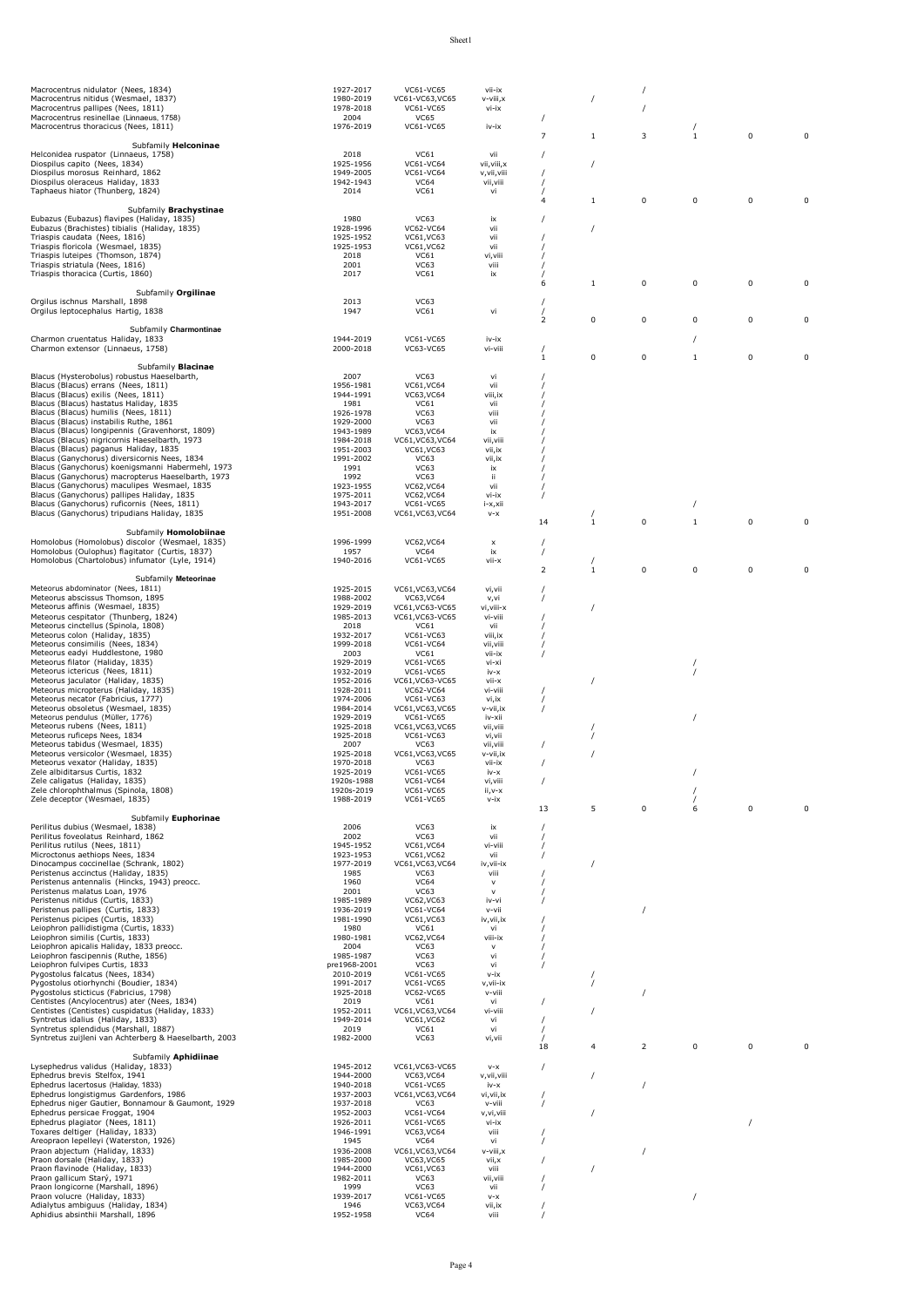| Macrocentrus nidulator (Nees, 1834)                                                              | 1927-2017               | VC61-VC65                      | vii-ix               |                |              |                |              |             |             |
|--------------------------------------------------------------------------------------------------|-------------------------|--------------------------------|----------------------|----------------|--------------|----------------|--------------|-------------|-------------|
| Macrocentrus nitidus (Wesmael, 1837)                                                             | 1980-2019               | VC61-VC63, VC65                | v-viii, x            |                | 7            |                |              |             |             |
| Macrocentrus pallipes (Nees, 1811)                                                               | 1978-2018               | VC61-VC65                      | vi-ix                |                |              |                |              |             |             |
| Macrocentrus resinellae (Linnaeus, 1758)                                                         | 2004                    | <b>VC65</b>                    |                      |                |              |                |              |             |             |
| Macrocentrus thoracicus (Nees, 1811)                                                             | 1976-2019               | VC61-VC65                      | iv-ix                | $\overline{7}$ | 1            | 3              | i.           | 0           | $\mathbf 0$ |
| Subfamily Helconinae                                                                             |                         |                                |                      |                |              |                |              |             |             |
| Helconidea ruspator (Linnaeus, 1758)                                                             | 2018                    | VC61                           | vii                  |                |              |                |              |             |             |
| Diospilus capito (Nees, 1834)                                                                    | 1925-1956               | VC61-VC64                      | vii, viii, x         |                | $\prime$     |                |              |             |             |
| Diospilus morosus Reinhard, 1862                                                                 | 1949-2005               | VC61-VC64                      | v, vii, viii         |                |              |                |              |             |             |
| Diospilus oleraceus Haliday, 1833                                                                | 1942-1943               | <b>VC64</b>                    | vii, viii            |                |              |                |              |             |             |
| Taphaeus hiator (Thunberg, 1824)                                                                 | 2014                    | VC61                           | vi                   | $\overline{4}$ |              |                |              |             |             |
| Subfamily Brachystinae                                                                           |                         |                                |                      |                | 1            | 0              | 0            | 0           | 0           |
| Eubazus (Eubazus) flavipes (Haliday, 1835)                                                       | 1980                    | <b>VC63</b>                    | ix                   |                |              |                |              |             |             |
| Eubazus (Brachistes) tibialis (Haliday, 1835)                                                    | 1928-1996               | VC62-VC64                      | vii                  |                |              |                |              |             |             |
| Triaspis caudata (Nees, 1816)                                                                    | 1925-1952               | VC61, VC63                     | vii                  |                |              |                |              |             |             |
| Triaspis floricola (Wesmael, 1835)                                                               | 1925-1953               | VC61, VC62                     | vii                  |                |              |                |              |             |             |
| Triaspis luteipes (Thomson, 1874)                                                                | 2018                    | VC61                           | vi, viii             |                |              |                |              |             |             |
| Triaspis striatula (Nees, 1816)<br>Triaspis thoracica (Curtis, 1860)                             | 2001                    | <b>VC63</b>                    | viii                 |                |              |                |              |             |             |
|                                                                                                  | 2017                    | VC61                           | ix                   | 6              | $\mathbf{1}$ | 0              | 0            | 0           | 0           |
| Subfamily Orgilinae                                                                              |                         |                                |                      |                |              |                |              |             |             |
| Orgilus ischnus Marshall, 1898                                                                   | 2013                    | <b>VC63</b>                    |                      |                |              |                |              |             |             |
| Orgilus leptocephalus Hartig, 1838                                                               | 1947                    | VC61                           | vi                   |                |              |                |              |             |             |
|                                                                                                  |                         |                                |                      | $\overline{2}$ | 0            | 0              | 0            | 0           | 0           |
| Subfamily Charmontinae                                                                           |                         |                                |                      |                |              |                |              |             |             |
| Charmon cruentatus Haliday, 1833                                                                 | 1944-2019               | VC61-VC65                      | iv-ix                |                |              |                |              |             |             |
| Charmon extensor (Linnaeus, 1758)                                                                | 2000-2018               | <b>VC63-VC65</b>               | vi-viii              |                | 0            |                | $\mathbf{1}$ |             |             |
| Subfamily <b>Blacinae</b>                                                                        |                         |                                |                      | 1              |              | 0              |              | 0           | 0           |
| Blacus (Hysterobolus) robustus Haeselbarth,                                                      | 2007                    | <b>VC63</b>                    | vi                   |                |              |                |              |             |             |
| Blacus (Blacus) errans (Nees, 1811)                                                              | 1956-1981               | VC61, VC64                     | vii                  |                |              |                |              |             |             |
| Blacus (Blacus) exilis (Nees, 1811)                                                              | 1944-1991               | VC63, VC64                     | viii,ix              |                |              |                |              |             |             |
| Blacus (Blacus) hastatus Haliday, 1835                                                           | 1981                    | VC61                           | vii                  |                |              |                |              |             |             |
| Blacus (Blacus) humilis (Nees, 1811)                                                             | 1926-1978               | <b>VC63</b>                    | viii                 |                |              |                |              |             |             |
| Blacus (Blacus) instabilis Ruthe, 1861                                                           | 1929-2000               | <b>VC63</b>                    | vii                  |                |              |                |              |             |             |
| Blacus (Blacus) longipennis (Gravenhorst, 1809)<br>Blacus (Blacus) nigricornis Haeselbarth, 1973 | 1943-1989<br>1984-2018  | VC63, VC64<br>VC61, VC63, VC64 | ix<br>vii, viii      |                |              |                |              |             |             |
| Blacus (Blacus) paganus Haliday, 1835                                                            | 1951-2003               | VC61, VC63                     | vii,ix               |                |              |                |              |             |             |
| Blacus (Ganychorus) diversicornis Nees, 1834                                                     | 1991-2002               | <b>VC63</b>                    | vii,ix               |                |              |                |              |             |             |
| Blacus (Ganychorus) koenigsmanni Habermehl, 1973                                                 | 1991                    | <b>VC63</b>                    | ix                   |                |              |                |              |             |             |
| Blacus (Ganychorus) macropterus Haeselbarth, 1973                                                | 1992                    | <b>VC63</b>                    | ü                    |                |              |                |              |             |             |
| Blacus (Ganychorus) maculipes Wesmael, 1835                                                      | 1923-1955               | VC62, VC64                     | vii                  |                |              |                |              |             |             |
| Blacus (Ganychorus) pallipes Haliday, 1835                                                       | 1975-2011               | VC62, VC64                     | vi-ix                |                |              |                |              |             |             |
| Blacus (Ganychorus) ruficornis (Nees, 1811)                                                      | 1943-2017               | VC61-VC65                      | i-x,xii              |                |              |                |              |             |             |
| Blacus (Ganychorus) tripudians Haliday, 1835                                                     | 1951-2008               | VC61, VC63, VC64               | $V-X$                |                |              |                |              |             |             |
| Subfamily Homolobiinae                                                                           |                         |                                |                      | 14             | $\mathbf{1}$ | 0              | $1\,$        | 0           | 0           |
| Homolobus (Homolobus) discolor (Wesmael, 1835)                                                   | 1996-1999               | VC62, VC64                     |                      |                |              |                |              |             |             |
| Homolobus (Oulophus) flagitator (Curtis, 1837)                                                   | 1957                    | <b>VC64</b>                    | $\pmb{\times}$<br>ix |                |              |                |              |             |             |
| Homolobus (Chartolobus) infumator (Lyle, 1914)                                                   | 1940-2016               | VC61-VC65                      | vii-x                |                |              |                |              |             |             |
|                                                                                                  |                         |                                |                      | $\overline{2}$ | $1\,$        | $\pmb{0}$      | 0            | 0           | 0           |
| Subfamily Meteorinae                                                                             |                         |                                |                      |                |              |                |              |             |             |
| Meteorus abdominator (Nees, 1811)                                                                | 1925-2015               | VC61, VC63, VC64               | vi, vii              |                |              |                |              |             |             |
| Meteorus abscissus Thomson, 1895                                                                 | 1988-2002               | VC63, VC64                     | v,vi                 |                |              |                |              |             |             |
| Meteorus affinis (Wesmael, 1835)                                                                 | 1929-2019               | VC61, VC63-VC65                | vi, viii-x           |                | $\prime$     |                |              |             |             |
| Meteorus cespitator (Thunberg, 1824)                                                             | 1985-2013               | VC61, VC63-VC65                | vi-viii              |                |              |                |              |             |             |
| Meteorus cinctellus (Spinola, 1808)<br>Meteorus colon (Haliday, 1835)                            | 2018<br>1932-2017       | VC61<br>VC61-VC63              | vii<br>viii, ix      |                |              |                |              |             |             |
| Meteorus consimilis (Nees, 1834)                                                                 | 1999-2018               | VC61-VC64                      | vii, viii            |                |              |                |              |             |             |
| Meteorus eadyi Huddlestone, 1980                                                                 | 2003                    | VC61                           | vii-ix               |                |              |                |              |             |             |
| Meteorus filator (Haliday, 1835)                                                                 | 1929-2019               | VC61-VC65                      | vi-xi                |                |              |                |              |             |             |
| Meteorus ictericus (Nees, 1811)                                                                  | 1932-2019               | VC61-VC65                      | iv-x                 |                |              |                |              |             |             |
| Meteorus jaculator (Haliday, 1835)                                                               | 1952-2016               | VC61, VC63-VC65                | vii-x                |                | $\prime$     |                |              |             |             |
| Meteorus micropterus (Haliday, 1835)                                                             | 1928-2011               | VC62-VC64                      | vi-viii              |                |              |                |              |             |             |
| Meteorus necator (Fabricius, 1777)                                                               | 1974-2006               | VC61-VC63                      | vi, ix               |                |              |                |              |             |             |
| Meteorus obsoletus (Wesmael, 1835)<br>Meteorus pendulus (Müller, 1776)                           | 1984-2014<br>1929-2019  | VC61, VC63, VC65<br>VC61-VC65  | v-vii,ix<br>iv-xii   |                |              |                | $\prime$     |             |             |
| Meteorus rubens (Nees, 1811)                                                                     | 1925-2018               | VC61, VC63, VC65               | vii, viii            |                |              |                |              |             |             |
| Meteorus ruficeps Nees, 1834                                                                     | 1925-2018               | VC61-VC63                      | vi,vii               |                |              |                |              |             |             |
| Meteorus tabidus (Wesmael, 1835)                                                                 | 2007                    | <b>VC63</b>                    | vii, viii            |                |              |                |              |             |             |
| Meteorus versicolor (Wesmael, 1835)                                                              | 1925-2018               | VC61, VC63, VC65               | v-vii, ix            |                |              |                |              |             |             |
| Meteorus vexator (Haliday, 1835)                                                                 | 1970-2018               | <b>VC63</b>                    | vii-ix               |                |              |                |              |             |             |
| Zele albiditarsus Curtis, 1832<br>Zele caligatus (Haliday, 1835)                                 | 1925-2019<br>1920s-1988 | VC61-VC65<br>VC61-VC64         | $iv-x$               |                |              |                |              |             |             |
| Zele chlorophthalmus (Spinola, 1808)                                                             | 1920s-2019              | VC61-VC65                      | vi, viii<br>ii,v-x   |                |              |                |              |             |             |
| Zele deceptor (Wesmael, 1835)                                                                    | 1988-2019               | VC61-VC65                      | v-ix                 |                |              |                |              |             |             |
|                                                                                                  |                         |                                |                      | 13             | 5            | $\pmb{0}$      | 6            | $\mathsf 0$ | $\mathbf 0$ |
| Subfamily Euphorinae                                                                             |                         |                                |                      |                |              |                |              |             |             |
| Perilitus dubius (Wesmael, 1838)                                                                 | 2006                    | <b>VC63</b>                    | ix                   |                |              |                |              |             |             |
| Perilitus foveolatus Reinhard, 1862                                                              | 2002                    | <b>VC63</b>                    | vii                  |                |              |                |              |             |             |
| Perilitus rutilus (Nees, 1811)<br>Microctonus aethiops Nees, 1834                                | 1945-1952<br>1923-1953  | VC61, VC64<br>VC61, VC62       | vi-viii              |                |              |                |              |             |             |
| Dinocampus coccinellae (Schrank, 1802)                                                           | 1977-2019               | VC61, VC63, VC64               | vii<br>iv, vii-ix    |                | 7            |                |              |             |             |
| Peristenus accinctus (Haliday, 1835)                                                             | 1985                    | VC63                           | viii                 |                |              |                |              |             |             |
| Peristenus antennalis (Hincks, 1943) preocc.                                                     | 1960                    | <b>VC64</b>                    | $\mathsf{V}$         |                |              |                |              |             |             |
| Peristenus malatus Loan, 1976                                                                    | 2001                    | <b>VC63</b>                    | $\mathsf{v}$         |                |              |                |              |             |             |
| Peristenus nitidus (Curtis, 1833)                                                                | 1985-1989               | VC62, VC63                     | iv-vi                |                |              |                |              |             |             |
| Peristenus pallipes (Curtis, 1833)<br>Peristenus picipes (Curtis, 1833)                          | 1936-2019<br>1981-1990  | VC61-VC64                      | v-vii                |                |              |                |              |             |             |
| Leiophron pallidistigma (Curtis, 1833)                                                           | 1980                    | VC61, VC63<br>VC61             | iv, vii, ix<br>vi    |                |              |                |              |             |             |
| Leiophron similis (Curtis, 1833)                                                                 | 1980-1981               | <b>VC62, VC64</b>              | viii-ix              |                |              |                |              |             |             |
| Leiophron apicalis Haliday, 1833 preocc.                                                         | 2004                    | <b>VC63</b>                    | $\mathsf{V}$         |                |              |                |              |             |             |
| Leiophron fascipennis (Ruthe, 1856)                                                              | 1985-1987               | <b>VC63</b>                    | vi                   |                |              |                |              |             |             |
| Leiophron fulvipes Curtis, 1833                                                                  | pre1968-2001            | <b>VC63</b>                    | vi                   |                |              |                |              |             |             |
| Pygostolus falcatus (Nees, 1834)                                                                 | 2010-2019               | VC61-VC65                      | v-ix                 |                |              |                |              |             |             |
| Pygostolus otiorhynchi (Boudier, 1834)                                                           | 1991-2017               | VC61-VC65                      | v,vii-ix             |                | $\prime$     |                |              |             |             |
| Pygostolus sticticus (Fabricius, 1798)<br>Centistes (Ancylocentrus) ater (Nees, 1834)            | 1925-2018<br>2019       | VC62-VC65<br>VC61              | v-viii               |                |              |                |              |             |             |
| Centistes (Centistes) cuspidatus (Haliday, 1833)                                                 | 1952-2011               | VC61, VC63, VC64               | vi<br>vi-viii        |                |              |                |              |             |             |
| Syntretus idalius (Haliday, 1833)                                                                | 1949-2014               | VC61, VC62                     | vi                   |                |              |                |              |             |             |
| Syntretus splendidus (Marshall, 1887)                                                            | 2019                    | VC61                           | vi                   |                |              |                |              |             |             |
| Syntretus zuijleni van Achterberg & Haeselbarth, 2003                                            | 1982-2000               | VC63                           | vi,vii               |                |              |                |              |             |             |
|                                                                                                  |                         |                                |                      | 18             | 4            | $\overline{2}$ | 0            | 0           | $\Omega$    |
| Subfamily Aphidiinae                                                                             |                         |                                |                      |                |              |                |              |             |             |
| Lysephedrus validus (Haliday, 1833)<br>Ephedrus brevis Stelfox, 1941                             | 1945-2012               | VC61, VC63-VC65                | $V-X$                |                |              |                |              |             |             |
| Ephedrus lacertosus (Haliday, 1833)                                                              | 1944-2000<br>1940-2018  | VC63, VC64<br>VC61-VC65        | v, vii, viii         |                |              |                |              |             |             |
| Ephedrus longistigmus Gardenfors, 1986                                                           | 1937-2003               | VC61, VC63, VC64               | iv-x<br>vi, vii, ix  |                |              |                |              |             |             |
| Ephedrus niger Gautier, Bonnamour & Gaumont, 1929                                                | 1937-2018               | VC63                           | v-viii               |                |              |                |              |             |             |
| Ephedrus persicae Froggat, 1904                                                                  | 1952-2003               | VC61-VC64                      | v, vi, viii          |                |              |                |              |             |             |
| Ephedrus plagiator (Nees, 1811)                                                                  | 1926-2011               | VC61-VC65                      | vi-ix                |                |              |                |              | 1           |             |
| Toxares deltiger (Haliday, 1833)                                                                 | 1946-1991               | VC63, VC64                     | viii                 |                |              |                |              |             |             |
| Areopraon lepelleyi (Waterston, 1926)                                                            | 1945                    | <b>VC64</b>                    | vi                   |                |              |                |              |             |             |
| Praon abjectum (Haliday, 1833)                                                                   | 1936-2008               | VC61, VC63, VC64               | v-viii, x            |                |              |                |              |             |             |
| Praon dorsale (Haliday, 1833)                                                                    | 1985-2000               | VC63, VC65                     | vii, x               |                |              |                |              |             |             |
| Praon flavinode (Haliday, 1833)<br>Praon gallicum Starý, 1971                                    | 1944-2000<br>1982-2011  | VC61, VC63<br>VC63             | viii<br>vii, viii    |                |              |                |              |             |             |
| Praon longicorne (Marshall, 1896)                                                                | 1999                    | <b>VC63</b>                    | vii                  |                |              |                |              |             |             |
| Praon volucre (Haliday, 1833)                                                                    | 1939-2017               | VC61-VC65                      | $V-X$                |                |              |                | $\prime$     |             |             |
| Adialytus ambiguus (Haliday, 1834)                                                               | 1946                    | VC63, VC64                     | vii,ix               |                |              |                |              |             |             |
| Aphidius absinthii Marshall, 1896                                                                | 1952-1958               | <b>VC64</b>                    | viii                 |                |              |                |              |             |             |

Page 4